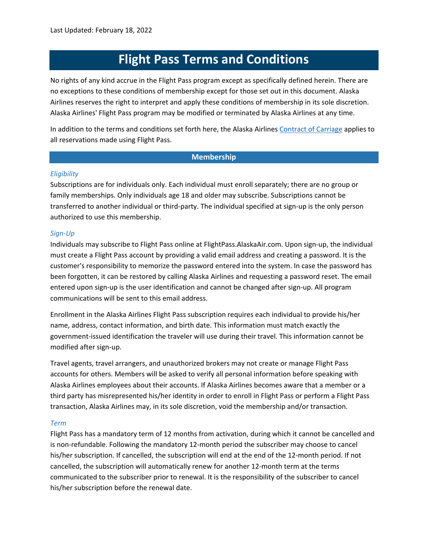# **Flight Pass Terms and Conditions**

No rights of any kind accrue in the Flight Pass program except as specifically defined herein. There are no exceptions to these conditions of membership except for those set out in this document. Alaska Airlines reserves the right to interpret and apply these conditions of membership in its sole discretion. Alaska Airlines' Flight Pass program may be modified or terminated by Alaska Airlines at any time.

In addition to the terms and conditions set forth here, the Alaska Airlines [Contract of Carriage](https://www.alaskaair.com/content/legal/contract-of-carriage/rule-1) applies to all reservations made using Flight Pass.

# **Membership**

# *Eligibility*

Subscriptions are for individuals only. Each individual must enroll separately; there are no group or family memberships. Only individuals age 18 and older may subscribe. Subscriptions cannot be transferred to another individual or third-party. The individual specified at sign-up is the only person authorized to use this membership.

# *Sign-Up*

Individuals may subscribe to Flight Pass online at FlightPass.AlaskaAir.com. Upon sign-up, the individual must create a Flight Pass account by providing a valid email address and creating a password. It is the customer's responsibility to memorize the password entered into the system. In case the password has been forgotten, it can be restored by calling Alaska Airlines and requesting a password reset. The email entered upon sign-up is the user identification and cannot be changed after sign-up. All program communications will be sent to this email address.

Enrollment in the Alaska Airlines Flight Pass subscription requires each individual to provide his/her name, address, contact information, and birth date. This information must match exactly the government-issued identification the traveler will use during their travel. This information cannot be modified after sign-up.

Travel agents, travel arrangers, and unauthorized brokers may not create or manage Flight Pass accounts for others. Members will be asked to verify all personal information before speaking with Alaska Airlines employees about their accounts. If Alaska Airlines becomes aware that a member or a third party has misrepresented his/her identity in order to enroll in Flight Pass or perform a Flight Pass transaction, Alaska Airlines may, in its sole discretion, void the membership and/or transaction.

### *Term*

Flight Pass has a mandatory term of 12 months from activation, during which it cannot be cancelled and is non-refundable. Following the mandatory 12-month period the subscriber may choose to cancel his/her subscription. If cancelled, the subscription will end at the end of the 12-month period. If not cancelled, the subscription will automatically renew for another 12-month term at the terms communicated to the subscriber prior to renewal. It is the responsibility of the subscriber to cancel his/her subscription before the renewal date.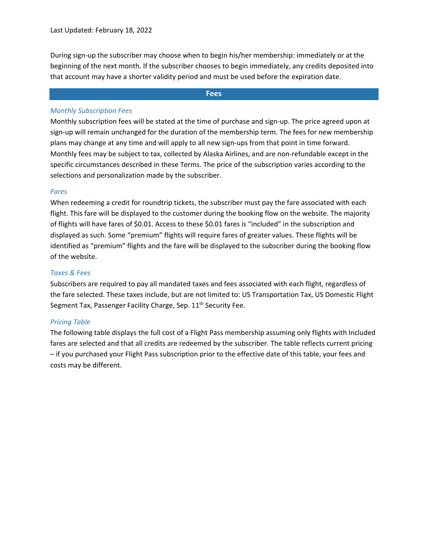During sign-up the subscriber may choose when to begin his/her membership: immediately or at the beginning of the next month. If the subscriber chooses to begin immediately, any credits deposited into that account may have a shorter validity period and must be used before the expiration date.

# **Fees**

# *Monthly Subscription Fees*

Monthly subscription fees will be stated at the time of purchase and sign-up. The price agreed upon at sign-up will remain unchanged for the duration of the membership term. The fees for new membership plans may change at any time and will apply to all new sign-ups from that point in time forward. Monthly fees may be subject to tax, collected by Alaska Airlines, and are non-refundable except in the specific circumstances described in these Terms. The price of the subscription varies according to the selections and personalization made by the subscriber.

# *Fares*

When redeeming a credit for roundtrip tickets, the subscriber must pay the fare associated with each flight. This fare will be displayed to the customer during the booking flow on the website. The majority of flights will have fares of \$0.01. Access to these \$0.01 fares is "included" in the subscription and displayed as such. Some "premium" flights will require fares of greater values. These flights will be identified as "premium" flights and the fare will be displayed to the subscriber during the booking flow of the website.

# *Taxes & Fees*

Subscribers are required to pay all mandated taxes and fees associated with each flight, regardless of the fare selected. These taxes include, but are not limited to: US Transportation Tax, US Domestic Flight Segment Tax, Passenger Facility Charge, Sep. 11<sup>th</sup> Security Fee.

# *Pricing Table*

The following table displays the full cost of a Flight Pass membership assuming only flights with Included fares are selected and that all credits are redeemed by the subscriber. The table reflects current pricing – if you purchased your Flight Pass subscription prior to the effective date of this table, your fees and costs may be different.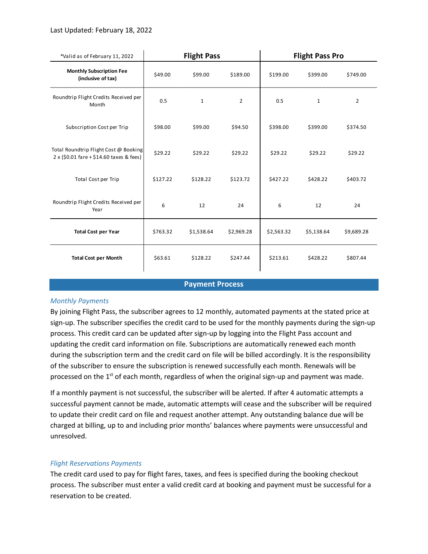# Last Updated: February 18, 2022

| *Valid as of February 11, 2022                                                          | <b>Flight Pass</b> |              |                | <b>Flight Pass Pro</b> |              |                |
|-----------------------------------------------------------------------------------------|--------------------|--------------|----------------|------------------------|--------------|----------------|
| <b>Monthly Subscription Fee</b><br>(inclusive of tax)                                   | \$49.00            | \$99.00      | \$189.00       | \$199.00               | \$399.00     | \$749.00       |
| Roundtrip Flight Credits Received per<br>Month                                          | 0.5                | $\mathbf{1}$ | $\overline{2}$ | 0.5                    | $\mathbf{1}$ | $\overline{2}$ |
| Subscription Cost per Trip                                                              | \$98.00            | \$99.00      | \$94.50        | \$398.00               | \$399.00     | \$374.50       |
| Total Roundtrip Flight Cost @ Booking<br>$2 \times (50.01$ fare + \$14.60 taxes & fees) | \$29.22            | \$29.22      | \$29.22        | \$29.22                | \$29.22      | \$29.22        |
| Total Cost per Trip                                                                     | \$127.22           | \$128.22     | \$123.72       | \$427.22               | \$428.22     | \$403.72       |
| Roundtrip Flight Credits Received per<br>Year                                           | 6                  | 12           | 24             | 6                      | 12           | 24             |
| <b>Total Cost per Year</b>                                                              | \$763.32           | \$1,538.64   | \$2,969.28     | \$2,563.32             | \$5,138.64   | \$9,689.28     |
| <b>Total Cost per Month</b>                                                             | \$63.61            | \$128.22     | \$247.44       | \$213.61               | \$428.22     | \$807.44       |

#### **Payment Process**

### *Monthly Payments*

By joining Flight Pass, the subscriber agrees to 12 monthly, automated payments at the stated price at sign-up. The subscriber specifies the credit card to be used for the monthly payments during the sign-up process. This credit card can be updated after sign-up by logging into the Flight Pass account and updating the credit card information on file. Subscriptions are automatically renewed each month during the subscription term and the credit card on file will be billed accordingly. It is the responsibility of the subscriber to ensure the subscription is renewed successfully each month. Renewals will be processed on the 1<sup>st</sup> of each month, regardless of when the original sign-up and payment was made.

If a monthly payment is not successful, the subscriber will be alerted. If after 4 automatic attempts a successful payment cannot be made, automatic attempts will cease and the subscriber will be required to update their credit card on file and request another attempt. Any outstanding balance due will be charged at billing, up to and including prior months' balances where payments were unsuccessful and unresolved.

# *Flight Reservations Payments*

The credit card used to pay for flight fares, taxes, and fees is specified during the booking checkout process. The subscriber must enter a valid credit card at booking and payment must be successful for a reservation to be created.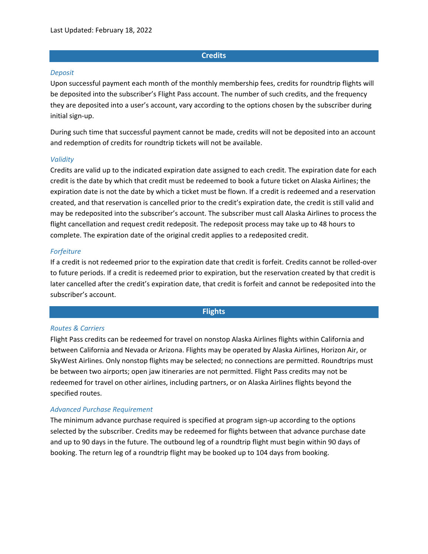### **Credits**

#### *Deposit*

Upon successful payment each month of the monthly membership fees, credits for roundtrip flights will be deposited into the subscriber's Flight Pass account. The number of such credits, and the frequency they are deposited into a user's account, vary according to the options chosen by the subscriber during initial sign-up.

During such time that successful payment cannot be made, credits will not be deposited into an account and redemption of credits for roundtrip tickets will not be available.

#### *Validity*

Credits are valid up to the indicated expiration date assigned to each credit. The expiration date for each credit is the date by which that credit must be redeemed to book a future ticket on Alaska Airlines; the expiration date is not the date by which a ticket must be flown. If a credit is redeemed and a reservation created, and that reservation is cancelled prior to the credit's expiration date, the credit is still valid and may be redeposited into the subscriber's account. The subscriber must call Alaska Airlines to process the flight cancellation and request credit redeposit. The redeposit process may take up to 48 hours to complete. The expiration date of the original credit applies to a redeposited credit.

#### *Forfeiture*

If a credit is not redeemed prior to the expiration date that credit is forfeit. Credits cannot be rolled-over to future periods. If a credit is redeemed prior to expiration, but the reservation created by that credit is later cancelled after the credit's expiration date, that credit is forfeit and cannot be redeposited into the subscriber's account.

# **Flights**

#### *Routes & Carriers*

Flight Pass credits can be redeemed for travel on nonstop Alaska Airlines flights within California and between California and Nevada or Arizona. Flights may be operated by Alaska Airlines, Horizon Air, or SkyWest Airlines. Only nonstop flights may be selected; no connections are permitted. Roundtrips must be between two airports; open jaw itineraries are not permitted. Flight Pass credits may not be redeemed for travel on other airlines, including partners, or on Alaska Airlines flights beyond the specified routes.

#### *Advanced Purchase Requirement*

The minimum advance purchase required is specified at program sign-up according to the options selected by the subscriber. Credits may be redeemed for flights between that advance purchase date and up to 90 days in the future. The outbound leg of a roundtrip flight must begin within 90 days of booking. The return leg of a roundtrip flight may be booked up to 104 days from booking.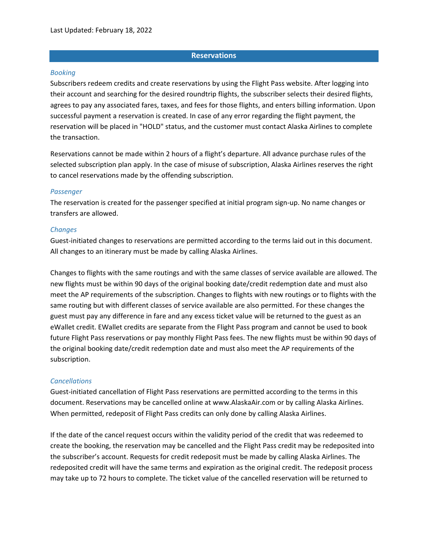# **Reservations**

# *Booking*

Subscribers redeem credits and create reservations by using the Flight Pass website. After logging into their account and searching for the desired roundtrip flights, the subscriber selects their desired flights, agrees to pay any associated fares, taxes, and fees for those flights, and enters billing information. Upon successful payment a reservation is created. In case of any error regarding the flight payment, the reservation will be placed in "HOLD" status, and the customer must contact Alaska Airlines to complete the transaction.

Reservations cannot be made within 2 hours of a flight's departure. All advance purchase rules of the selected subscription plan apply. In the case of misuse of subscription, Alaska Airlines reserves the right to cancel reservations made by the offending subscription.

# *Passenger*

The reservation is created for the passenger specified at initial program sign-up. No name changes or transfers are allowed.

# *Changes*

Guest-initiated changes to reservations are permitted according to the terms laid out in this document. All changes to an itinerary must be made by calling Alaska Airlines.

Changes to flights with the same routings and with the same classes of service available are allowed. The new flights must be within 90 days of the original booking date/credit redemption date and must also meet the AP requirements of the subscription. Changes to flights with new routings or to flights with the same routing but with different classes of service available are also permitted. For these changes the guest must pay any difference in fare and any excess ticket value will be returned to the guest as an eWallet credit. EWallet credits are separate from the Flight Pass program and cannot be used to book future Flight Pass reservations or pay monthly Flight Pass fees. The new flights must be within 90 days of the original booking date/credit redemption date and must also meet the AP requirements of the subscription.

# *Cancellations*

Guest-initiated cancellation of Flight Pass reservations are permitted according to the terms in this document. Reservations may be cancelled online at www.AlaskaAir.com or by calling Alaska Airlines. When permitted, redeposit of Flight Pass credits can only done by calling Alaska Airlines.

If the date of the cancel request occurs within the validity period of the credit that was redeemed to create the booking, the reservation may be cancelled and the Flight Pass credit may be redeposited into the subscriber's account. Requests for credit redeposit must be made by calling Alaska Airlines. The redeposited credit will have the same terms and expiration as the original credit. The redeposit process may take up to 72 hours to complete. The ticket value of the cancelled reservation will be returned to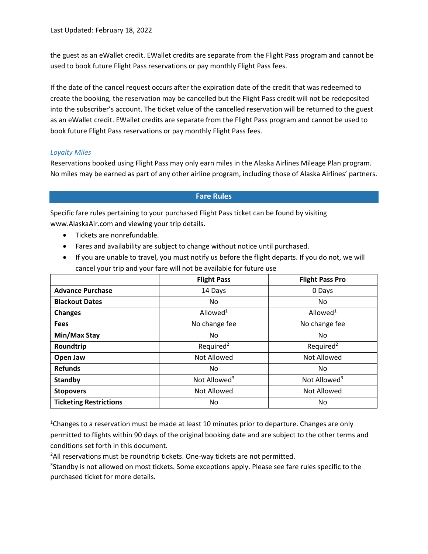the guest as an eWallet credit. EWallet credits are separate from the Flight Pass program and cannot be used to book future Flight Pass reservations or pay monthly Flight Pass fees.

If the date of the cancel request occurs after the expiration date of the credit that was redeemed to create the booking, the reservation may be cancelled but the Flight Pass credit will not be redeposited into the subscriber's account. The ticket value of the cancelled reservation will be returned to the guest as an eWallet credit. EWallet credits are separate from the Flight Pass program and cannot be used to book future Flight Pass reservations or pay monthly Flight Pass fees.

# *Loyalty Miles*

Reservations booked using Flight Pass may only earn miles in the Alaska Airlines Mileage Plan program. No miles may be earned as part of any other airline program, including those of Alaska Airlines' partners.

# **Fare Rules**

Specific fare rules pertaining to your purchased Flight Pass ticket can be found by visiting www.AlaskaAir.com and viewing your trip details.

- Tickets are nonrefundable.
- Fares and availability are subject to change without notice until purchased.
- If you are unable to travel, you must notify us before the flight departs. If you do not, we will cancel your trip and your fare will not be available for future use

|                               | <b>Flight Pass</b>       | <b>Flight Pass Pro</b>   |
|-------------------------------|--------------------------|--------------------------|
| <b>Advance Purchase</b>       | 14 Days                  | 0 Days                   |
| <b>Blackout Dates</b>         | No.                      | No.                      |
| <b>Changes</b>                | Allowed $1$              | Allowed <sup>1</sup>     |
| <b>Fees</b>                   | No change fee            | No change fee            |
| Min/Max Stay                  | No                       | No                       |
| Roundtrip                     | Required <sup>2</sup>    | Required <sup>2</sup>    |
| Open Jaw                      | <b>Not Allowed</b>       | <b>Not Allowed</b>       |
| <b>Refunds</b>                | No.                      | No.                      |
| <b>Standby</b>                | Not Allowed <sup>3</sup> | Not Allowed <sup>3</sup> |
| <b>Stopovers</b>              | Not Allowed              | Not Allowed              |
| <b>Ticketing Restrictions</b> | No                       | No                       |

<sup>1</sup>Changes to a reservation must be made at least 10 minutes prior to departure. Changes are only permitted to flights within 90 days of the original booking date and are subject to the other terms and conditions set forth in this document.

<sup>2</sup>All reservations must be roundtrip tickets. One-way tickets are not permitted.

<sup>3</sup>Standby is not allowed on most tickets. Some exceptions apply. Please see fare rules specific to the purchased ticket for more details.